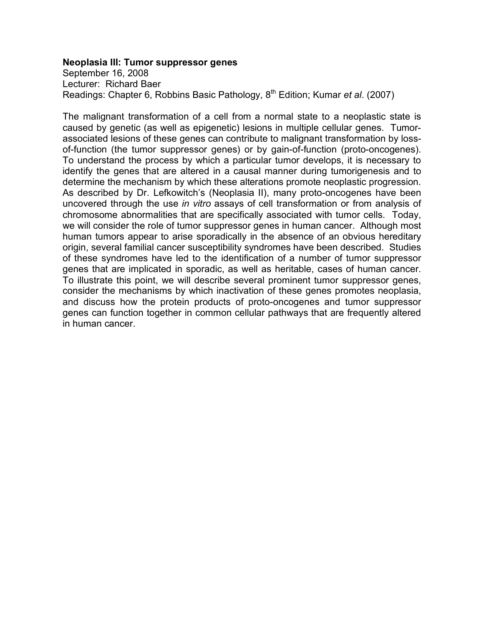#### **Neoplasia III: Tumor suppressor genes**

September 16, 2008 Lecturer: Richard Baer Readings: Chapter 6, Robbins Basic Pathology, 8th Edition; Kumar *et al*. (2007)

The malignant transformation of a cell from a normal state to a neoplastic state is caused by genetic (as well as epigenetic) lesions in multiple cellular genes. Tumorassociated lesions of these genes can contribute to malignant transformation by lossof-function (the tumor suppressor genes) or by gain-of-function (proto-oncogenes). To understand the process by which a particular tumor develops, it is necessary to identify the genes that are altered in a causal manner during tumorigenesis and to determine the mechanism by which these alterations promote neoplastic progression. As described by Dr. Lefkowitch's (Neoplasia II), many proto-oncogenes have been uncovered through the use *in vitro* assays of cell transformation or from analysis of chromosome abnormalities that are specifically associated with tumor cells. Today, we will consider the role of tumor suppressor genes in human cancer. Although most human tumors appear to arise sporadically in the absence of an obvious hereditary origin, several familial cancer susceptibility syndromes have been described. Studies of these syndromes have led to the identification of a number of tumor suppressor genes that are implicated in sporadic, as well as heritable, cases of human cancer. To illustrate this point, we will describe several prominent tumor suppressor genes, consider the mechanisms by which inactivation of these genes promotes neoplasia, and discuss how the protein products of proto-oncogenes and tumor suppressor genes can function together in common cellular pathways that are frequently altered in human cancer.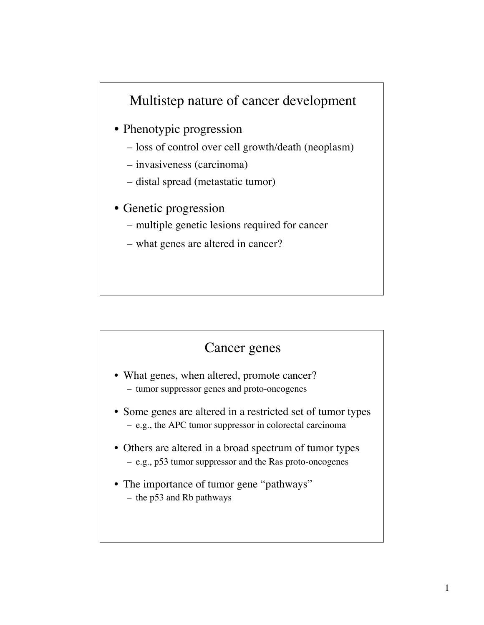## Multistep nature of cancer development

- Phenotypic progression
	- loss of control over cell growth/death (neoplasm)
	- invasiveness (carcinoma)
	- distal spread (metastatic tumor)
- Genetic progression
	- multiple genetic lesions required for cancer
	- what genes are altered in cancer?

#### Cancer genes

- What genes, when altered, promote cancer? – tumor suppressor genes and proto-oncogenes
- Some genes are altered in a restricted set of tumor types – e.g., the APC tumor suppressor in colorectal carcinoma
- Others are altered in a broad spectrum of tumor types – e.g., p53 tumor suppressor and the Ras proto-oncogenes
- The importance of tumor gene "pathways" – the p53 and Rb pathways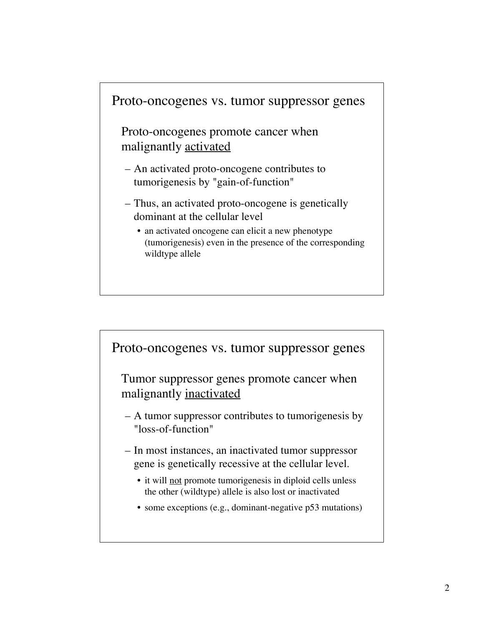

Proto-oncogenes promote cancer when malignantly activated

- An activated proto-oncogene contributes to tumorigenesis by "gain-of-function"
- Thus, an activated proto-oncogene is genetically dominant at the cellular level
	- an activated oncogene can elicit a new phenotype (tumorigenesis) even in the presence of the corresponding wildtype allele

Proto-oncogenes vs. tumor suppressor genes

Tumor suppressor genes promote cancer when malignantly inactivated

– A tumor suppressor contributes to tumorigenesis by "loss-of-function"

- In most instances, an inactivated tumor suppressor gene is genetically recessive at the cellular level.
	- it will not promote tumorigenesis in diploid cells unless the other (wildtype) allele is also lost or inactivated
	- some exceptions (e.g., dominant-negative p53 mutations)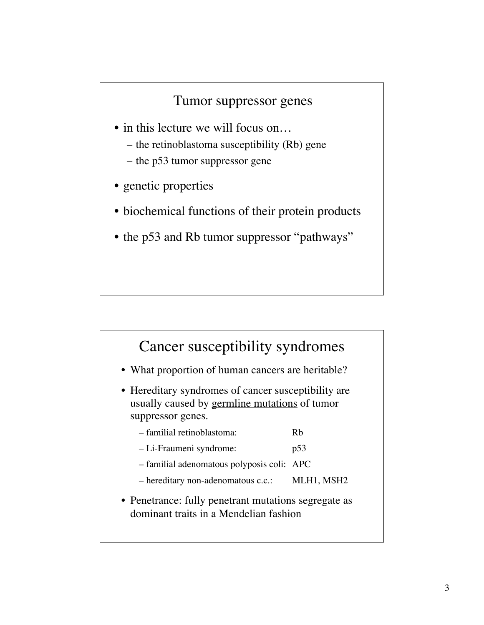#### Tumor suppressor genes

- in this lecture we will focus on...
	- the retinoblastoma susceptibility (Rb) gene
	- the p53 tumor suppressor gene
- genetic properties
- biochemical functions of their protein products
- the p53 and Rb tumor suppressor "pathways"

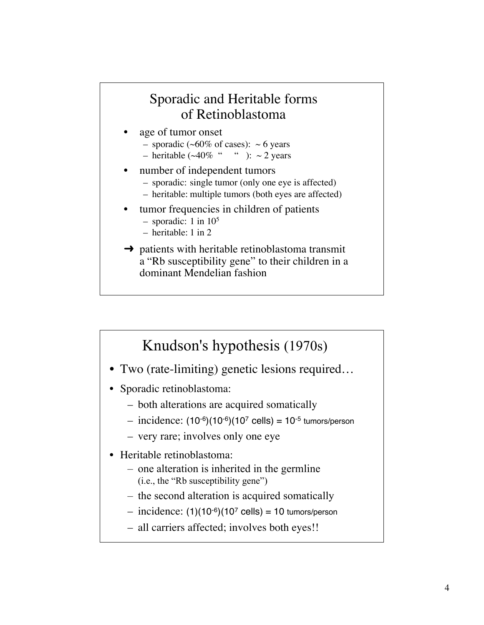#### Sporadic and Heritable forms of Retinoblastoma

- age of tumor onset
	- sporadic ( $\sim 60\%$  of cases):  $\sim 6$  years
	- heritable ( $\sim$ 40% " " ):  $\sim$  2 years
- number of independent tumors
	- sporadic: single tumor (only one eye is affected)
	- heritable: multiple tumors (both eyes are affected)
- tumor frequencies in children of patients
	- sporadic: 1 in 105
	- heritable: 1 in 2
- $\rightarrow$  patients with heritable retinoblastoma transmit a "Rb susceptibility gene" to their children in a dominant Mendelian fashion

## Knudson's hypothesis (1970s)

- Two (rate-limiting) genetic lesions required...
- Sporadic retinoblastoma:
	- both alterations are acquired somatically
	- $-$  incidence:  $(10^{-6})(10^{-6})(10^{7}$  cells) =  $10^{-5}$  tumors/person
	- very rare; involves only one eye
- Heritable retinoblastoma:
	- one alteration is inherited in the germline (i.e., the "Rb susceptibility gene")
	- the second alteration is acquired somatically
	- $-$  incidence: (1)(10<sup>-6</sup>)(10<sup>7</sup> cells) = 10 tumors/person
	- all carriers affected; involves both eyes!!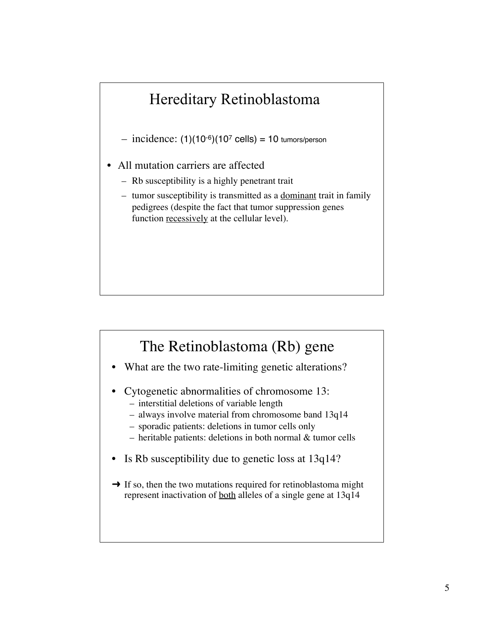# Hereditary Retinoblastoma

 $-$  incidence: (1)(10<sup>-6</sup>)(10<sup>7</sup> cells) = 10 tumors/person

- All mutation carriers are affected
	- Rb susceptibility is a highly penetrant trait
	- tumor susceptibility is transmitted as a dominant trait in family pedigrees (despite the fact that tumor suppression genes function recessively at the cellular level).

## The Retinoblastoma (Rb) gene

- What are the two rate-limiting genetic alterations?
- Cytogenetic abnormalities of chromosome 13:
	- interstitial deletions of variable length
	- always involve material from chromosome band 13q14
	- sporadic patients: deletions in tumor cells only
	- heritable patients: deletions in both normal & tumor cells
- Is Rb susceptibility due to genetic loss at 13q14?
- $\rightarrow$  If so, then the two mutations required for retinoblastoma might represent inactivation of both alleles of a single gene at 13q14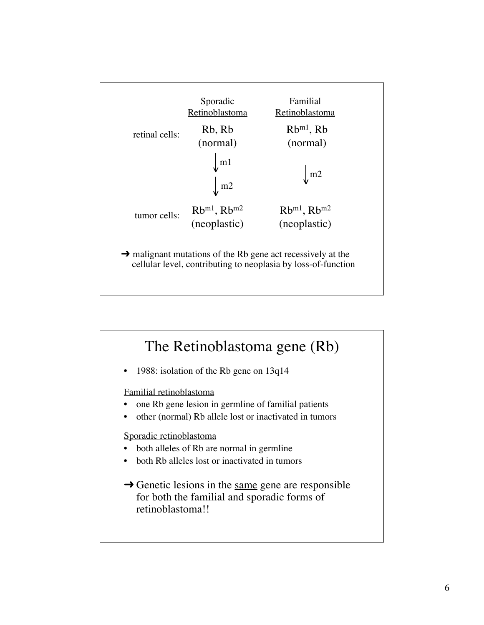![](_page_6_Figure_0.jpeg)

![](_page_6_Figure_1.jpeg)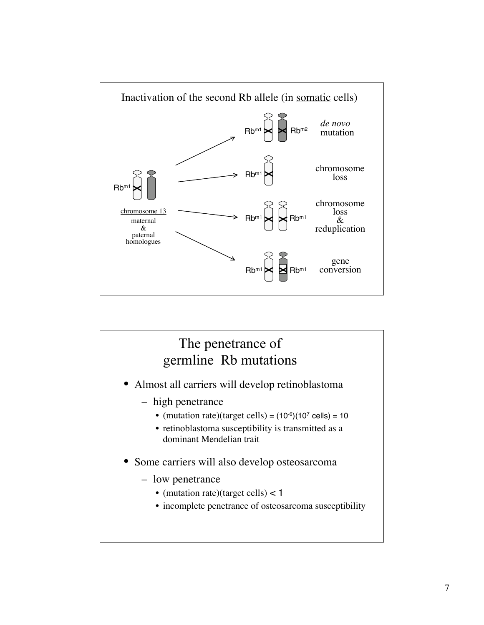![](_page_7_Figure_0.jpeg)

![](_page_7_Figure_1.jpeg)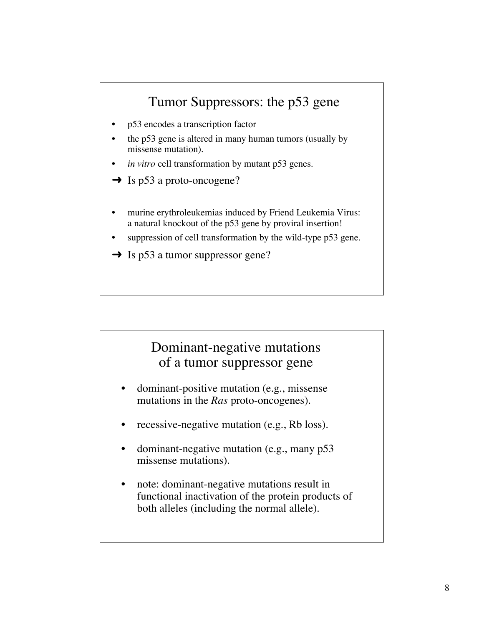## Tumor Suppressors: the p53 gene

- p53 encodes a transcription factor
- the p53 gene is altered in many human tumors (usually by missense mutation).
- *in vitro* cell transformation by mutant p53 genes.
- $\rightarrow$  Is p53 a proto-oncogene?
- murine erythroleukemias induced by Friend Leukemia Virus: a natural knockout of the p53 gene by proviral insertion!
- suppression of cell transformation by the wild-type p53 gene.
- $\rightarrow$  Is p53 a tumor suppressor gene?

#### Dominant-negative mutations of a tumor suppressor gene

- dominant-positive mutation (e.g., missense mutations in the *Ras* proto-oncogenes).
- recessive-negative mutation (e.g., Rb loss).
- dominant-negative mutation (e.g., many p53) missense mutations).
- note: dominant-negative mutations result in functional inactivation of the protein products of both alleles (including the normal allele).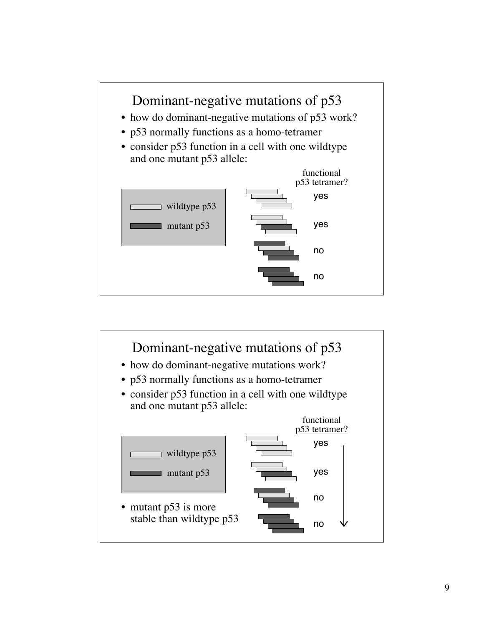![](_page_9_Figure_0.jpeg)

![](_page_9_Figure_1.jpeg)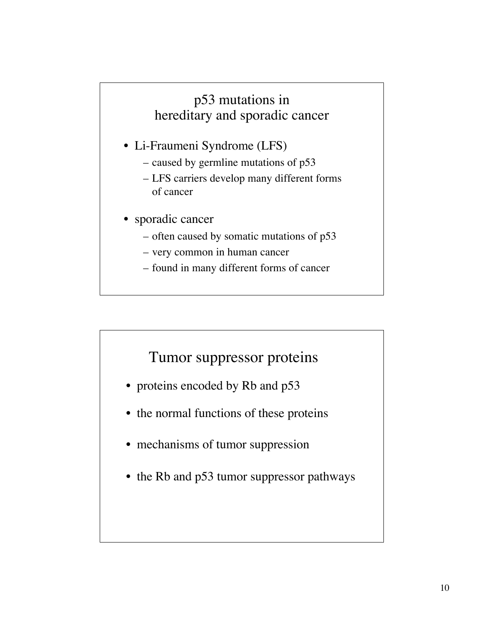## p53 mutations in hereditary and sporadic cancer

- Li-Fraumeni Syndrome (LFS)
	- caused by germline mutations of p53
	- LFS carriers develop many different forms of cancer
- sporadic cancer
	- often caused by somatic mutations of p53
	- very common in human cancer
	- found in many different forms of cancer

## Tumor suppressor proteins

- proteins encoded by Rb and p53
- the normal functions of these proteins
- mechanisms of tumor suppression
- the Rb and p53 tumor suppressor pathways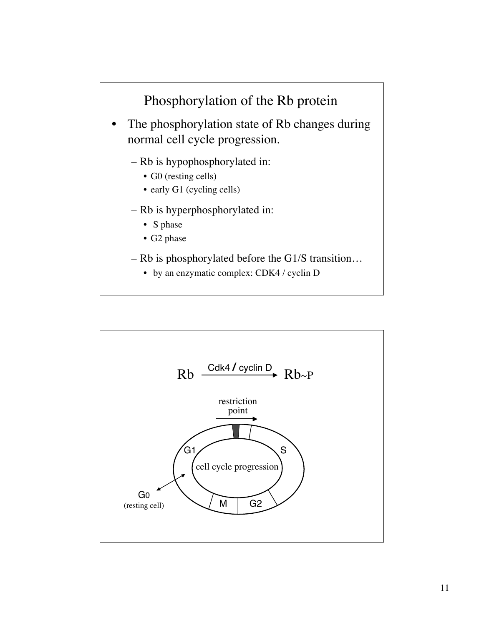![](_page_11_Figure_0.jpeg)

![](_page_11_Figure_1.jpeg)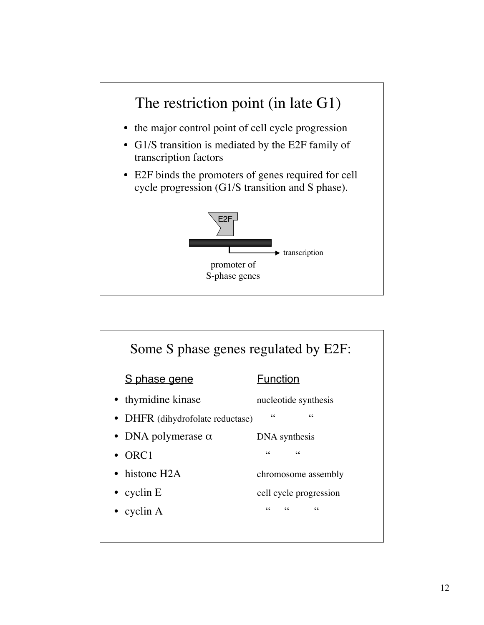![](_page_12_Figure_0.jpeg)

![](_page_12_Figure_1.jpeg)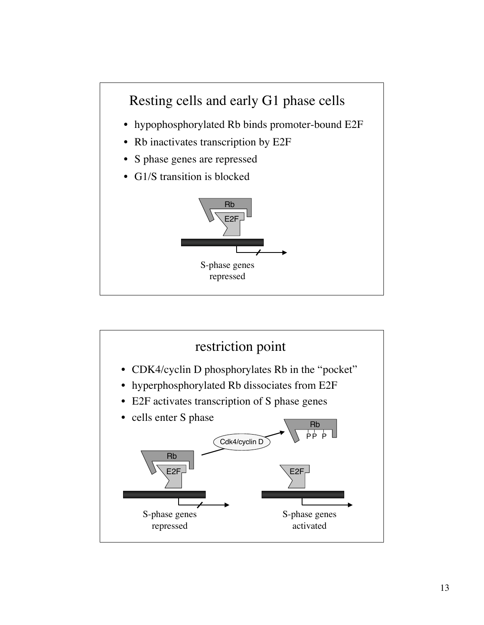![](_page_13_Figure_0.jpeg)

![](_page_13_Figure_1.jpeg)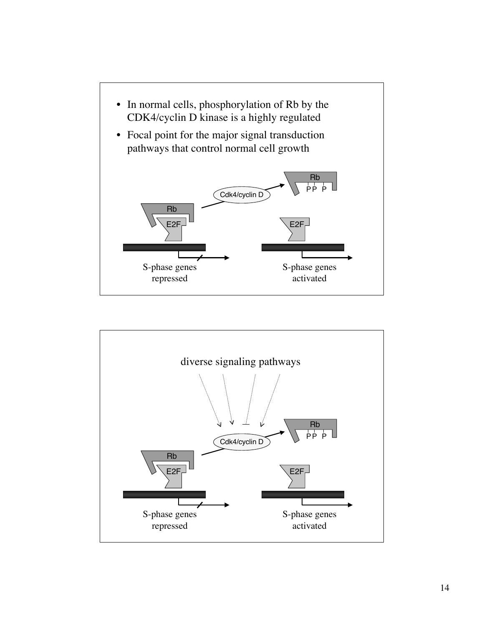![](_page_14_Figure_0.jpeg)

![](_page_14_Figure_1.jpeg)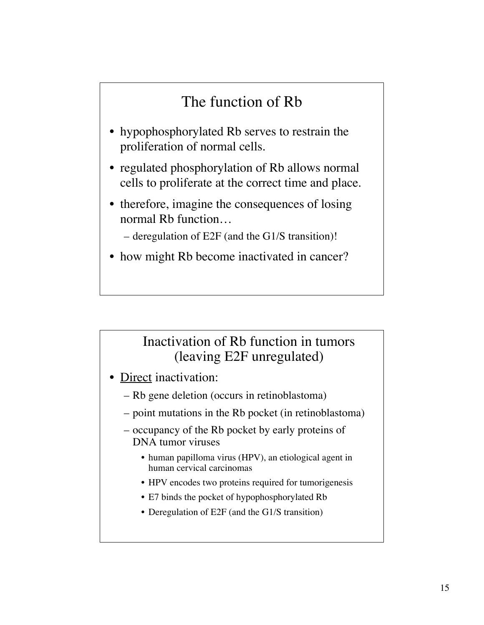# The function of Rb

- hypophosphorylated Rb serves to restrain the proliferation of normal cells.
- regulated phosphorylation of Rb allows normal cells to proliferate at the correct time and place.
- therefore, imagine the consequences of losing normal Rb function…

– deregulation of E2F (and the G1/S transition)!

• how might Rb become inactivated in cancer?

#### Inactivation of Rb function in tumors (leaving E2F unregulated)

- Direct inactivation:
	- Rb gene deletion (occurs in retinoblastoma)
	- point mutations in the Rb pocket (in retinoblastoma)
	- occupancy of the Rb pocket by early proteins of DNA tumor viruses
		- human papilloma virus (HPV), an etiological agent in human cervical carcinomas
		- HPV encodes two proteins required for tumorigenesis
		- E7 binds the pocket of hypophosphorylated Rb
		- Deregulation of E2F (and the G1/S transition)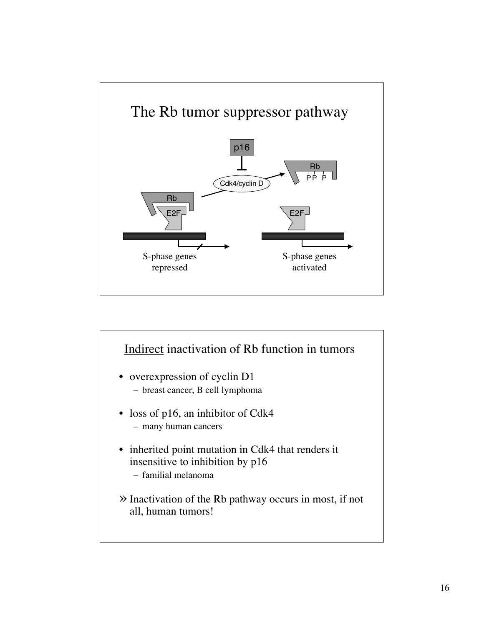![](_page_16_Figure_0.jpeg)

![](_page_16_Figure_1.jpeg)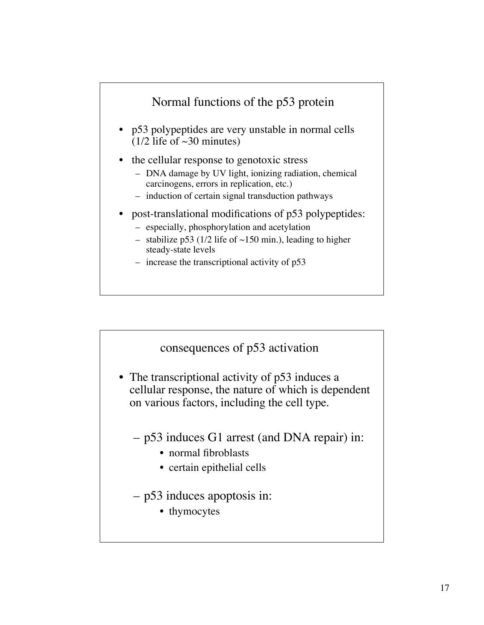![](_page_17_Figure_0.jpeg)

![](_page_17_Figure_1.jpeg)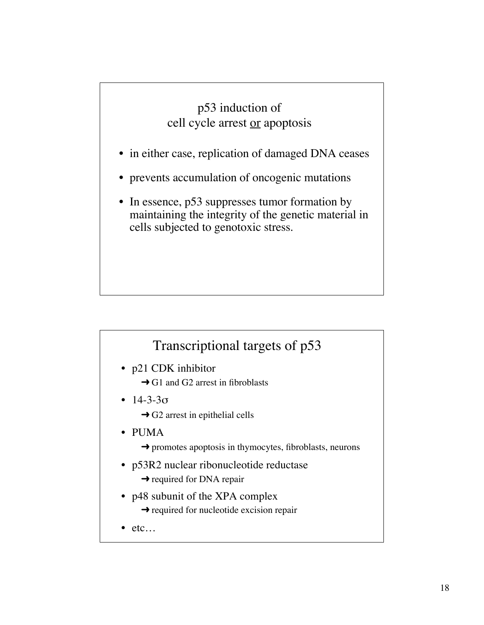#### p53 induction of cell cycle arrest or apoptosis

- in either case, replication of damaged DNA ceases
- prevents accumulation of oncogenic mutations
- In essence, p53 suppresses tumor formation by maintaining the integrity of the genetic material in cells subjected to genotoxic stress.

## Transcriptional targets of p53

- p21 CDK inhibitor
	- $\rightarrow$  G1 and G2 arrest in fibroblasts
- $14 3 3\sigma$ 
	- $\rightarrow$  G2 arrest in epithelial cells
- PUMA
	- $\rightarrow$  promotes apoptosis in thymocytes, fibroblasts, neurons
- p53R2 nuclear ribonucleotide reductase
	- $\rightarrow$  required for DNA repair
- p48 subunit of the XPA complex
	- $\rightarrow$  required for nucleotide excision repair
- etc…